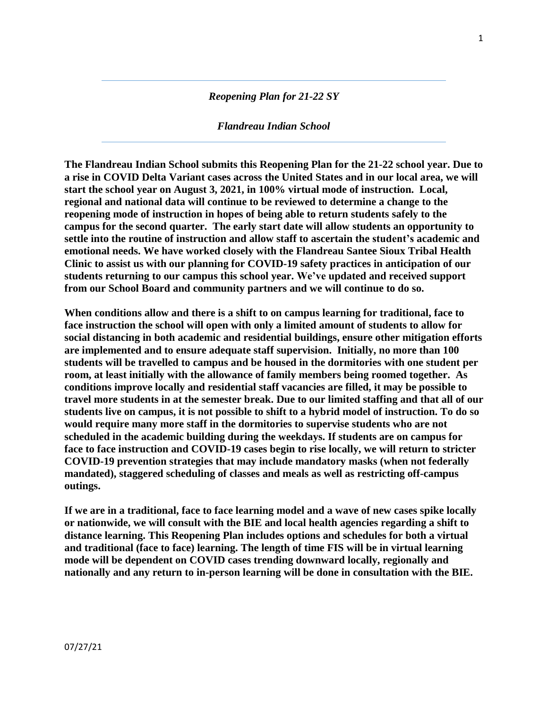#### *Reopening Plan for 21-22 SY*

#### *Flandreau Indian School*

**The Flandreau Indian School submits this Reopening Plan for the 21-22 school year. Due to a rise in COVID Delta Variant cases across the United States and in our local area, we will start the school year on August 3, 2021, in 100% virtual mode of instruction. Local, regional and national data will continue to be reviewed to determine a change to the reopening mode of instruction in hopes of being able to return students safely to the campus for the second quarter. The early start date will allow students an opportunity to settle into the routine of instruction and allow staff to ascertain the student's academic and emotional needs. We have worked closely with the Flandreau Santee Sioux Tribal Health Clinic to assist us with our planning for COVID-19 safety practices in anticipation of our students returning to our campus this school year. We've updated and received support from our School Board and community partners and we will continue to do so.**

**When conditions allow and there is a shift to on campus learning for traditional, face to face instruction the school will open with only a limited amount of students to allow for social distancing in both academic and residential buildings, ensure other mitigation efforts are implemented and to ensure adequate staff supervision. Initially, no more than 100 students will be travelled to campus and be housed in the dormitories with one student per room, at least initially with the allowance of family members being roomed together. As conditions improve locally and residential staff vacancies are filled, it may be possible to travel more students in at the semester break. Due to our limited staffing and that all of our** students live on campus, it is not possible to shift to a hybrid model of instruction. To do so **would require many more staff in the dormitories to supervise students who are not scheduled in the academic building during the weekdays. If students are on campus for face to face instruction and COVID-19 cases begin to rise locally, we will return to stricter COVID-19 prevention strategies that may include mandatory masks (when not federally mandated), staggered scheduling of classes and meals as well as restricting off-campus outings.**

If we are in a traditional, face to face learning model and a wave of new cases spike locally **or nationwide, we will consult with the BIE and local health agencies regarding a shift to distance learning. This Reopening Plan includes options and schedules for both a virtual and traditional (face to face) learning. The length of time FIS will be in virtual learning mode will be dependent on COVID cases trending downward locally, regionally and nationally and any return to in-person learning will be done in consultation with the BIE.**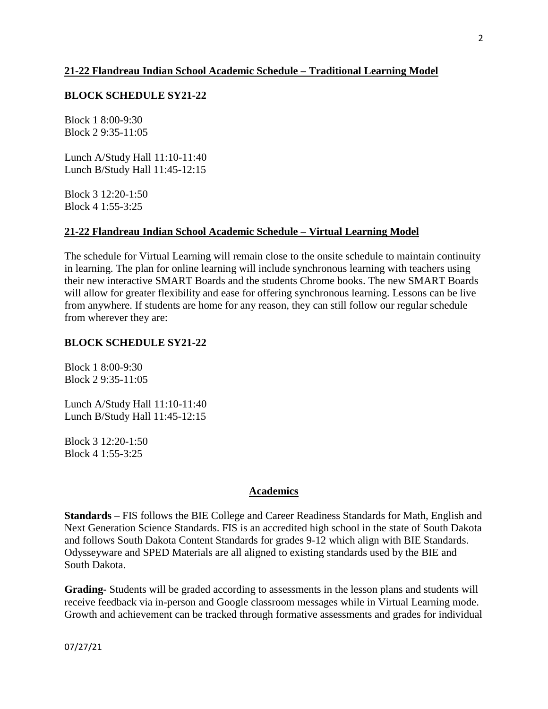#### **21-22 Flandreau Indian School Academic Schedule – Traditional Learning Model**

#### **BLOCK SCHEDULE SY21-22**

Block 1 8:00-9:30 Block 2 9:35-11:05

Lunch A/Study Hall 11:10-11:40 Lunch B/Study Hall 11:45-12:15

Block 3 12:20-1:50 Block 4 1:55-3:25

#### **21-22 Flandreau Indian School Academic Schedule – Virtual Learning Model**

The schedule for Virtual Learning will remain close to the onsite schedule to maintain continuity in learning. The plan for online learning will include synchronous learning with teachers using their new interactive SMART Boards and the students Chrome books. The new SMART Boards will allow for greater flexibility and ease for offering synchronous learning. Lessons can be live from anywhere. If students are home for any reason, they can still follow our regular schedule from wherever they are:

#### **BLOCK SCHEDULE SY21-22**

Block 1 8:00-9:30 Block 2 9:35-11:05

Lunch A/Study Hall 11:10-11:40 Lunch B/Study Hall 11:45-12:15

Block 3 12:20-1:50 Block 4 1:55-3:25

#### **Academics**

**Standards** – FIS follows the BIE College and Career Readiness Standards for Math, English and Next Generation Science Standards. FIS is an accredited high school in the state of South Dakota and follows South Dakota Content Standards for grades 9-12 which align with BIE Standards. Odysseyware and SPED Materials are all aligned to existing standards used by the BIE and South Dakota.

**Grading-** Students will be graded according to assessments in the lesson plans and students will receive feedback via in-person and Google classroom messages while in Virtual Learning mode. Growth and achievement can be tracked through formative assessments and grades for individual

07/27/21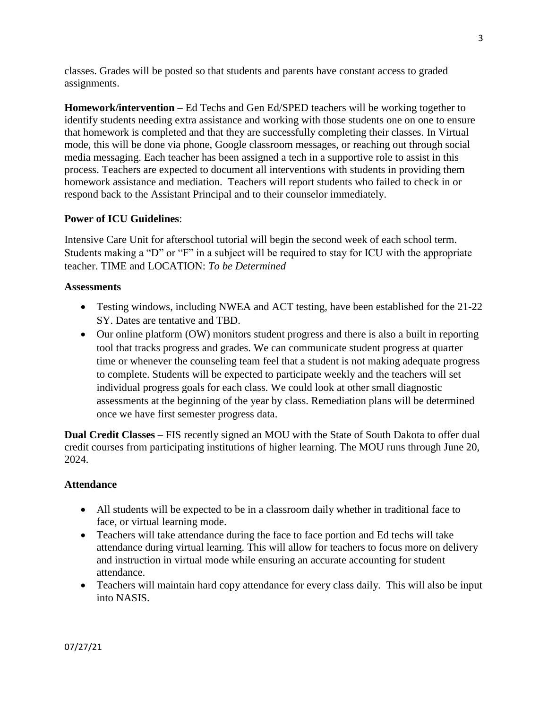classes. Grades will be posted so that students and parents have constant access to graded assignments.

**Homework/intervention** – Ed Techs and Gen Ed/SPED teachers will be working together to identify students needing extra assistance and working with those students one on one to ensure that homework is completed and that they are successfully completing their classes. In Virtual mode, this will be done via phone, Google classroom messages, or reaching out through social media messaging. Each teacher has been assigned a tech in a supportive role to assist in this process. Teachers are expected to document all interventions with students in providing them homework assistance and mediation. Teachers will report students who failed to check in or respond back to the Assistant Principal and to their counselor immediately.

# **Power of ICU Guidelines**:

Intensive Care Unit for afterschool tutorial will begin the second week of each school term. Students making a "D" or "F" in a subject will be required to stay for ICU with the appropriate teacher. TIME and LOCATION: *To be Determined*

#### **Assessments**

- Testing windows, including NWEA and ACT testing, have been established for the 21-22 SY. Dates are tentative and TBD.
- Our online platform (OW) monitors student progress and there is also a built in reporting tool that tracks progress and grades. We can communicate student progress at quarter time or whenever the counseling team feel that a student is not making adequate progress to complete. Students will be expected to participate weekly and the teachers will set individual progress goals for each class. We could look at other small diagnostic assessments at the beginning of the year by class. Remediation plans will be determined once we have first semester progress data.

**Dual Credit Classes** – FIS recently signed an MOU with the State of South Dakota to offer dual credit courses from participating institutions of higher learning. The MOU runs through June 20, 2024.

#### **Attendance**

- All students will be expected to be in a classroom daily whether in traditional face to face, or virtual learning mode.
- Teachers will take attendance during the face to face portion and Ed techs will take attendance during virtual learning. This will allow for teachers to focus more on delivery and instruction in virtual mode while ensuring an accurate accounting for student attendance.
- Teachers will maintain hard copy attendance for every class daily. This will also be input into NASIS.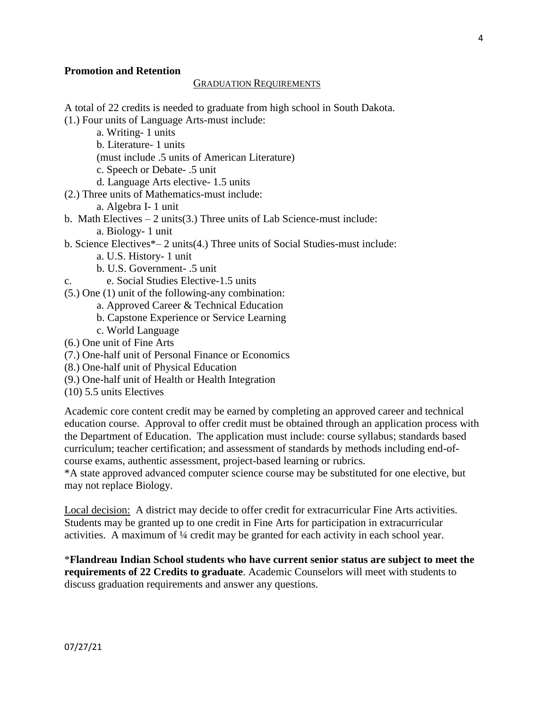#### **Promotion and Retention**

#### GRADUATION REQUIREMENTS

- A total of 22 credits is needed to graduate from high school in South Dakota.
- (1.) Four units of Language Arts-must include:
	- a. Writing- 1 units
	- b. Literature- 1 units
	- (must include .5 units of American Literature)
	- c. Speech or Debate- .5 unit
	- d. Language Arts elective- 1.5 units
- (2.) Three units of Mathematics-must include:
	- a. Algebra I- 1 unit
- b. Math Electives  $-2$  units(3.) Three units of Lab Science-must include:
	- a. Biology- 1 unit
- b. Science Electives\*– 2 units(4.) Three units of Social Studies-must include:
	- a. U.S. History- 1 unit
	- b. U.S. Government- .5 unit
- c. e. Social Studies Elective-1.5 units
- (5.) One (1) unit of the following-any combination:
	- a. Approved Career & Technical Education
		- b. Capstone Experience or Service Learning
	- c. World Language
- (6.) One unit of Fine Arts
- (7.) One-half unit of Personal Finance or Economics
- (8.) One-half unit of Physical Education
- (9.) One-half unit of Health or Health Integration
- (10) 5.5 units Electives

Academic core content credit may be earned by completing an approved career and technical education course. Approval to offer credit must be obtained through an application process with the Department of Education. The application must include: course syllabus; standards based curriculum; teacher certification; and assessment of standards by methods including end-ofcourse exams, authentic assessment, project-based learning or rubrics.

\*A state approved advanced computer science course may be substituted for one elective, but may not replace Biology.

Local decision: A district may decide to offer credit for extracurricular Fine Arts activities. Students may be granted up to one credit in Fine Arts for participation in extracurricular activities. A maximum of ¼ credit may be granted for each activity in each school year.

\***Flandreau Indian School students who have current senior status are subject to meet the requirements of 22 Credits to graduate**. Academic Counselors will meet with students to discuss graduation requirements and answer any questions.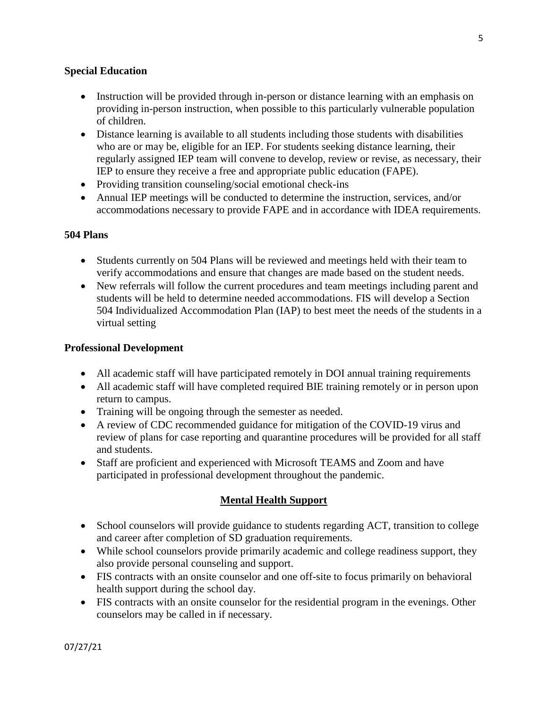### **Special Education**

- Instruction will be provided through in-person or distance learning with an emphasis on providing in-person instruction, when possible to this particularly vulnerable population of children.
- Distance learning is available to all students including those students with disabilities who are or may be, eligible for an IEP. For students seeking distance learning, their regularly assigned IEP team will convene to develop, review or revise, as necessary, their IEP to ensure they receive a free and appropriate public education (FAPE).
- Providing transition counseling/social emotional check-ins
- Annual IEP meetings will be conducted to determine the instruction, services, and/or accommodations necessary to provide FAPE and in accordance with IDEA requirements.

#### **504 Plans**

- Students currently on 504 Plans will be reviewed and meetings held with their team to verify accommodations and ensure that changes are made based on the student needs.
- New referrals will follow the current procedures and team meetings including parent and students will be held to determine needed accommodations. FIS will develop a Section 504 Individualized Accommodation Plan (IAP) to best meet the needs of the students in a virtual setting

#### **Professional Development**

- All academic staff will have participated remotely in DOI annual training requirements
- All academic staff will have completed required BIE training remotely or in person upon return to campus.
- Training will be ongoing through the semester as needed.
- A review of CDC recommended guidance for mitigation of the COVID-19 virus and review of plans for case reporting and quarantine procedures will be provided for all staff and students.
- Staff are proficient and experienced with Microsoft TEAMS and Zoom and have participated in professional development throughout the pandemic.

#### **Mental Health Support**

- School counselors will provide guidance to students regarding ACT, transition to college and career after completion of SD graduation requirements.
- While school counselors provide primarily academic and college readiness support, they also provide personal counseling and support.
- FIS contracts with an onsite counselor and one off-site to focus primarily on behavioral health support during the school day.
- FIS contracts with an onsite counselor for the residential program in the evenings. Other counselors may be called in if necessary.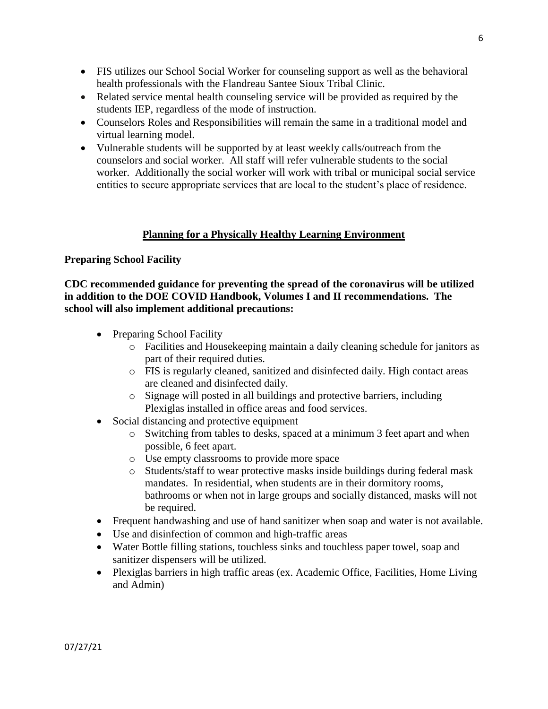- FIS utilizes our School Social Worker for counseling support as well as the behavioral health professionals with the Flandreau Santee Sioux Tribal Clinic.
- Related service mental health counseling service will be provided as required by the students IEP, regardless of the mode of instruction.
- Counselors Roles and Responsibilities will remain the same in a traditional model and virtual learning model.
- Vulnerable students will be supported by at least weekly calls/outreach from the counselors and social worker. All staff will refer vulnerable students to the social worker. Additionally the social worker will work with tribal or municipal social service entities to secure appropriate services that are local to the student's place of residence.

# **Planning for a Physically Healthy Learning Environment**

#### **Preparing School Facility**

**CDC recommended guidance for preventing the spread of the coronavirus will be utilized in addition to the DOE COVID Handbook, Volumes I and II recommendations. The school will also implement additional precautions:** 

- Preparing School Facility
	- o Facilities and Housekeeping maintain a daily cleaning schedule for janitors as part of their required duties.
	- o FIS is regularly cleaned, sanitized and disinfected daily. High contact areas are cleaned and disinfected daily.
	- o Signage will posted in all buildings and protective barriers, including Plexiglas installed in office areas and food services.
- Social distancing and protective equipment
	- o Switching from tables to desks, spaced at a minimum 3 feet apart and when possible, 6 feet apart.
	- o Use empty classrooms to provide more space
	- o Students/staff to wear protective masks inside buildings during federal mask mandates. In residential, when students are in their dormitory rooms, bathrooms or when not in large groups and socially distanced, masks will not be required.
- Frequent handwashing and use of hand sanitizer when soap and water is not available.
- Use and disinfection of common and high-traffic areas
- Water Bottle filling stations, touchless sinks and touchless paper towel, soap and sanitizer dispensers will be utilized.
- Plexiglas barriers in high traffic areas (ex. Academic Office, Facilities, Home Living and Admin)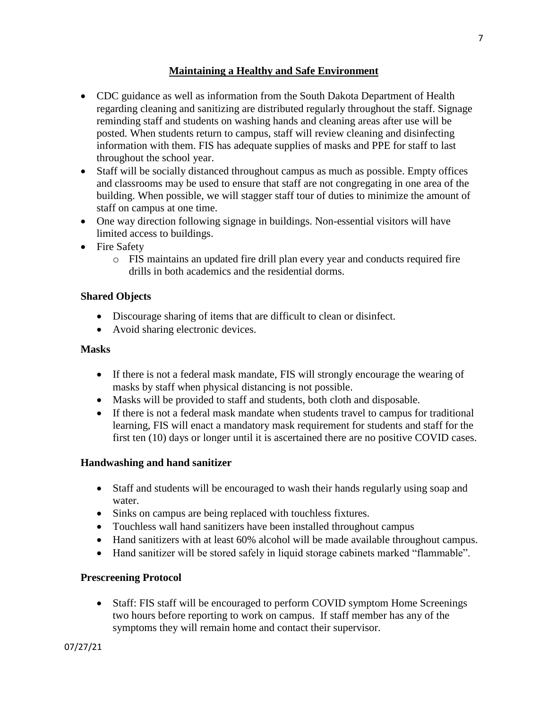# **Maintaining a Healthy and Safe Environment**

- CDC guidance as well as information from the South Dakota Department of Health regarding cleaning and sanitizing are distributed regularly throughout the staff. Signage reminding staff and students on washing hands and cleaning areas after use will be posted. When students return to campus, staff will review cleaning and disinfecting information with them. FIS has adequate supplies of masks and PPE for staff to last throughout the school year.
- Staff will be socially distanced throughout campus as much as possible. Empty offices and classrooms may be used to ensure that staff are not congregating in one area of the building. When possible, we will stagger staff tour of duties to minimize the amount of staff on campus at one time.
- One way direction following signage in buildings. Non-essential visitors will have limited access to buildings.
- Fire Safety
	- o FIS maintains an updated fire drill plan every year and conducts required fire drills in both academics and the residential dorms.

# **Shared Objects**

- Discourage sharing of items that are difficult to clean or disinfect.
- Avoid sharing electronic devices.

#### **Masks**

- If there is not a federal mask mandate, FIS will strongly encourage the wearing of masks by staff when physical distancing is not possible.
- Masks will be provided to staff and students, both cloth and disposable.
- If there is not a federal mask mandate when students travel to campus for traditional learning, FIS will enact a mandatory mask requirement for students and staff for the first ten (10) days or longer until it is ascertained there are no positive COVID cases.

# **Handwashing and hand sanitizer**

- Staff and students will be encouraged to wash their hands regularly using soap and water.
- Sinks on campus are being replaced with touchless fixtures.
- Touchless wall hand sanitizers have been installed throughout campus
- Hand sanitizers with at least 60% alcohol will be made available throughout campus.
- Hand sanitizer will be stored safely in liquid storage cabinets marked "flammable".

# **Prescreening Protocol**

• Staff: FIS staff will be encouraged to perform COVID symptom Home Screenings two hours before reporting to work on campus. If staff member has any of the symptoms they will remain home and contact their supervisor.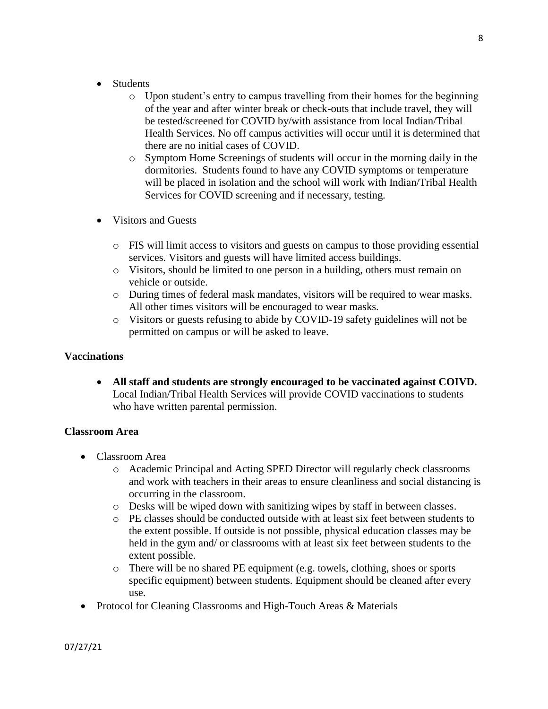- Students
	- $\circ$  Upon student's entry to campus travelling from their homes for the beginning of the year and after winter break or check-outs that include travel, they will be tested/screened for COVID by/with assistance from local Indian/Tribal Health Services. No off campus activities will occur until it is determined that there are no initial cases of COVID.
	- o Symptom Home Screenings of students will occur in the morning daily in the dormitories. Students found to have any COVID symptoms or temperature will be placed in isolation and the school will work with Indian/Tribal Health Services for COVID screening and if necessary, testing.
- Visitors and Guests
	- o FIS will limit access to visitors and guests on campus to those providing essential services. Visitors and guests will have limited access buildings.
	- o Visitors, should be limited to one person in a building, others must remain on vehicle or outside.
	- o During times of federal mask mandates, visitors will be required to wear masks. All other times visitors will be encouraged to wear masks.
	- o Visitors or guests refusing to abide by COVID-19 safety guidelines will not be permitted on campus or will be asked to leave.

### **Vaccinations**

 **All staff and students are strongly encouraged to be vaccinated against COIVD.**  Local Indian/Tribal Health Services will provide COVID vaccinations to students who have written parental permission.

# **Classroom Area**

- Classroom Area
	- o Academic Principal and Acting SPED Director will regularly check classrooms and work with teachers in their areas to ensure cleanliness and social distancing is occurring in the classroom.
	- o Desks will be wiped down with sanitizing wipes by staff in between classes.
	- o PE classes should be conducted outside with at least six feet between students to the extent possible. If outside is not possible, physical education classes may be held in the gym and/ or classrooms with at least six feet between students to the extent possible.
	- o There will be no shared PE equipment (e.g. towels, clothing, shoes or sports specific equipment) between students. Equipment should be cleaned after every use.
- Protocol for Cleaning Classrooms and High-Touch Areas & Materials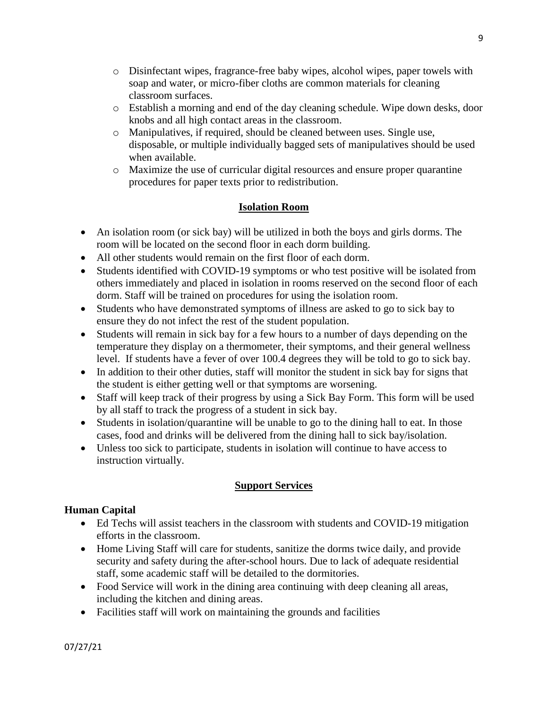- o Disinfectant wipes, fragrance-free baby wipes, alcohol wipes, paper towels with soap and water, or micro-fiber cloths are common materials for cleaning classroom surfaces.
- o Establish a morning and end of the day cleaning schedule. Wipe down desks, door knobs and all high contact areas in the classroom.
- o Manipulatives, if required, should be cleaned between uses. Single use, disposable, or multiple individually bagged sets of manipulatives should be used when available.
- o Maximize the use of curricular digital resources and ensure proper quarantine procedures for paper texts prior to redistribution.

# **Isolation Room**

- An isolation room (or sick bay) will be utilized in both the boys and girls dorms. The room will be located on the second floor in each dorm building.
- All other students would remain on the first floor of each dorm.
- Students identified with COVID-19 symptoms or who test positive will be isolated from others immediately and placed in isolation in rooms reserved on the second floor of each dorm. Staff will be trained on procedures for using the isolation room.
- Students who have demonstrated symptoms of illness are asked to go to sick bay to ensure they do not infect the rest of the student population.
- Students will remain in sick bay for a few hours to a number of days depending on the temperature they display on a thermometer, their symptoms, and their general wellness level. If students have a fever of over 100.4 degrees they will be told to go to sick bay.
- In addition to their other duties, staff will monitor the student in sick bay for signs that the student is either getting well or that symptoms are worsening.
- Staff will keep track of their progress by using a Sick Bay Form. This form will be used by all staff to track the progress of a student in sick bay.
- Students in isolation/quarantine will be unable to go to the dining hall to eat. In those cases, food and drinks will be delivered from the dining hall to sick bay/isolation.
- Unless too sick to participate, students in isolation will continue to have access to instruction virtually.

# **Support Services**

# **Human Capital**

- Ed Techs will assist teachers in the classroom with students and COVID-19 mitigation efforts in the classroom.
- Home Living Staff will care for students, sanitize the dorms twice daily, and provide security and safety during the after-school hours. Due to lack of adequate residential staff, some academic staff will be detailed to the dormitories.
- Food Service will work in the dining area continuing with deep cleaning all areas, including the kitchen and dining areas.
- Facilities staff will work on maintaining the grounds and facilities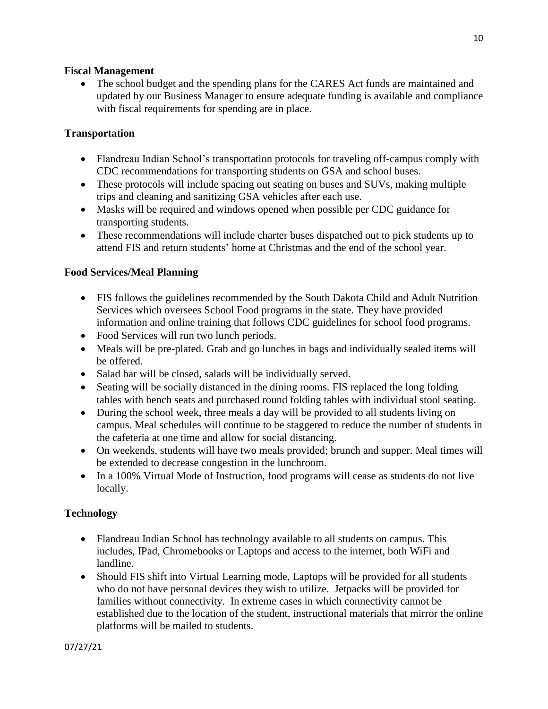# **Fiscal Management**

• The school budget and the spending plans for the CARES Act funds are maintained and updated by our Business Manager to ensure adequate funding is available and compliance with fiscal requirements for spending are in place.

# **Transportation**

- Flandreau Indian School's transportation protocols for traveling off-campus comply with CDC recommendations for transporting students on GSA and school buses.
- These protocols will include spacing out seating on buses and SUVs, making multiple trips and cleaning and sanitizing GSA vehicles after each use.
- Masks will be required and windows opened when possible per CDC guidance for transporting students.
- These recommendations will include charter buses dispatched out to pick students up to attend FIS and return students' home at Christmas and the end of the school year.

# **Food Services/Meal Planning**

- FIS follows the guidelines recommended by the South Dakota Child and Adult Nutrition Services which oversees School Food programs in the state. They have provided information and online training that follows CDC guidelines for school food programs.
- Food Services will run two lunch periods.
- Meals will be pre-plated. Grab and go lunches in bags and individually sealed items will be offered.
- Salad bar will be closed, salads will be individually served.
- Seating will be socially distanced in the dining rooms. FIS replaced the long folding tables with bench seats and purchased round folding tables with individual stool seating.
- During the school week, three meals a day will be provided to all students living on campus. Meal schedules will continue to be staggered to reduce the number of students in the cafeteria at one time and allow for social distancing.
- On weekends, students will have two meals provided; brunch and supper. Meal times will be extended to decrease congestion in the lunchroom.
- In a 100% Virtual Mode of Instruction, food programs will cease as students do not live locally.

# **Technology**

- Flandreau Indian School has technology available to all students on campus. This includes, IPad, Chromebooks or Laptops and access to the internet, both WiFi and landline.
- Should FIS shift into Virtual Learning mode, Laptops will be provided for all students who do not have personal devices they wish to utilize. Jetpacks will be provided for families without connectivity. In extreme cases in which connectivity cannot be established due to the location of the student, instructional materials that mirror the online platforms will be mailed to students.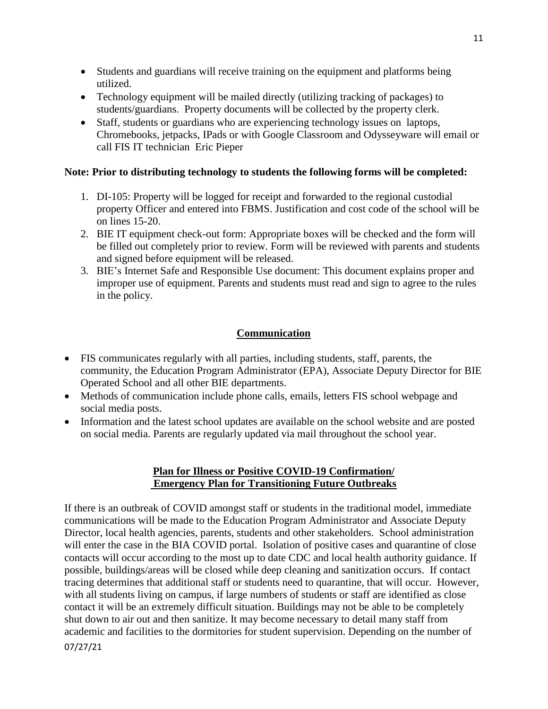- Students and guardians will receive training on the equipment and platforms being utilized.
- Technology equipment will be mailed directly (utilizing tracking of packages) to students/guardians. Property documents will be collected by the property clerk.
- Staff, students or guardians who are experiencing technology issues on laptops, Chromebooks, jetpacks, IPads or with Google Classroom and Odysseyware will email or call FIS IT technician Eric Pieper

# **Note: Prior to distributing technology to students the following forms will be completed:**

- 1. DI-105: Property will be logged for receipt and forwarded to the regional custodial property Officer and entered into FBMS. Justification and cost code of the school will be on lines 15-20.
- 2. BIE IT equipment check-out form: Appropriate boxes will be checked and the form will be filled out completely prior to review. Form will be reviewed with parents and students and signed before equipment will be released.
- 3. BIE's Internet Safe and Responsible Use document: This document explains proper and improper use of equipment. Parents and students must read and sign to agree to the rules in the policy.

#### **Communication**

- FIS communicates regularly with all parties, including students, staff, parents, the community, the Education Program Administrator (EPA), Associate Deputy Director for BIE Operated School and all other BIE departments.
- Methods of communication include phone calls, emails, letters FIS school webpage and social media posts.
- Information and the latest school updates are available on the school website and are posted on social media. Parents are regularly updated via mail throughout the school year.

#### **Plan for Illness or Positive COVID-19 Confirmation/ Emergency Plan for Transitioning Future Outbreaks**

07/27/21 If there is an outbreak of COVID amongst staff or students in the traditional model, immediate communications will be made to the Education Program Administrator and Associate Deputy Director, local health agencies, parents, students and other stakeholders. School administration will enter the case in the BIA COVID portal. Isolation of positive cases and quarantine of close contacts will occur according to the most up to date CDC and local health authority guidance. If possible, buildings/areas will be closed while deep cleaning and sanitization occurs. If contact tracing determines that additional staff or students need to quarantine, that will occur. However, with all students living on campus, if large numbers of students or staff are identified as close contact it will be an extremely difficult situation. Buildings may not be able to be completely shut down to air out and then sanitize. It may become necessary to detail many staff from academic and facilities to the dormitories for student supervision. Depending on the number of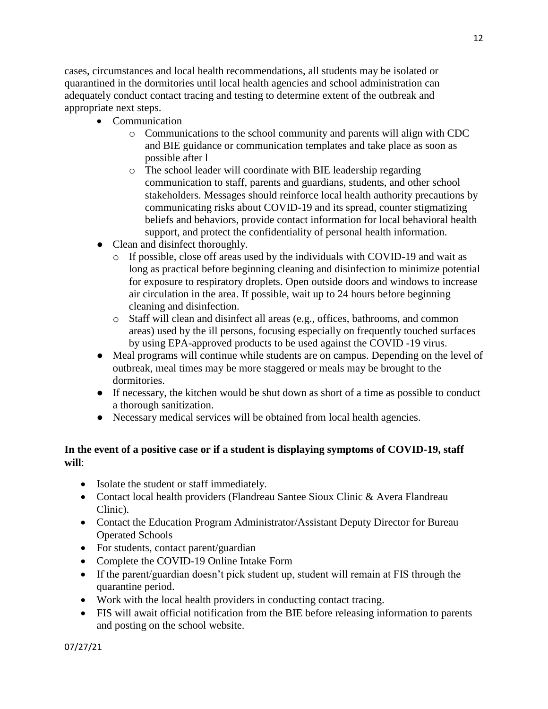cases, circumstances and local health recommendations, all students may be isolated or quarantined in the dormitories until local health agencies and school administration can adequately conduct contact tracing and testing to determine extent of the outbreak and appropriate next steps.

- Communication
	- $\circ$  Communications to the school community and parents will align with CDC and BIE guidance or communication templates and take place as soon as possible after l
	- o The school leader will coordinate with BIE leadership regarding communication to staff, parents and guardians, students, and other school stakeholders. Messages should reinforce local health authority precautions by communicating risks about COVID-19 and its spread, counter stigmatizing beliefs and behaviors, provide contact information for local behavioral health support, and protect the confidentiality of personal health information.
- Clean and disinfect thoroughly.
	- o If possible, close off areas used by the individuals with COVID-19 and wait as long as practical before beginning cleaning and disinfection to minimize potential for exposure to respiratory droplets. Open outside doors and windows to increase air circulation in the area. If possible, wait up to 24 hours before beginning cleaning and disinfection.
	- o Staff will clean and disinfect all areas (e.g., offices, bathrooms, and common areas) used by the ill persons, focusing especially on frequently touched surfaces by using EPA-approved products to be used against the COVID -19 virus.
- Meal programs will continue while students are on campus. Depending on the level of outbreak, meal times may be more staggered or meals may be brought to the dormitories.
- If necessary, the kitchen would be shut down as short of a time as possible to conduct a thorough sanitization.
- Necessary medical services will be obtained from local health agencies.

# **In the event of a positive case or if a student is displaying symptoms of COVID-19, staff will**:

- Isolate the student or staff immediately.
- Contact local health providers (Flandreau Santee Sioux Clinic & Avera Flandreau Clinic).
- Contact the Education Program Administrator/Assistant Deputy Director for Bureau Operated Schools
- For students, contact parent/guardian
- Complete the COVID-19 Online Intake Form
- If the parent/guardian doesn't pick student up, student will remain at FIS through the quarantine period.
- Work with the local health providers in conducting contact tracing.
- FIS will await official notification from the BIE before releasing information to parents and posting on the school website.